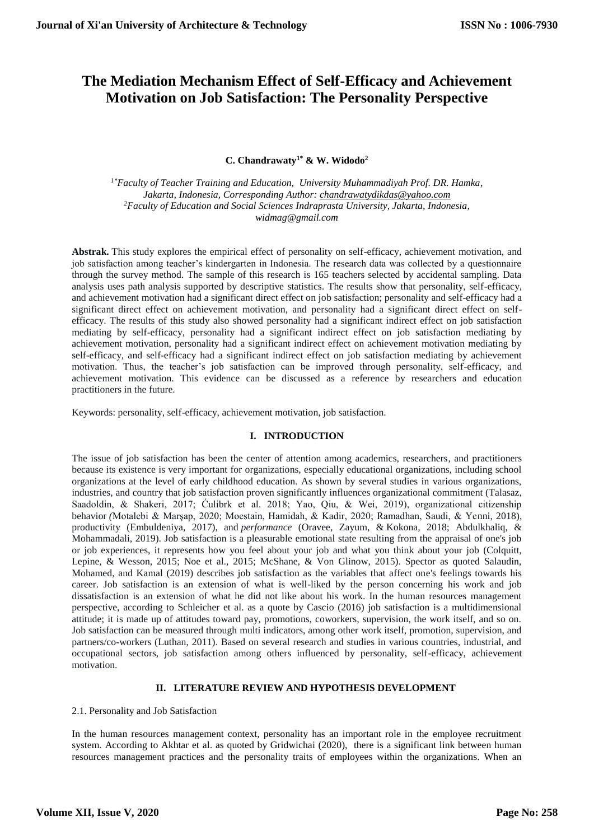# **The Mediation Mechanism Effect of Self-Efficacy and Achievement Motivation on Job Satisfaction: The Personality Perspective**

**C. Chandrawaty1\* & W. Widodo<sup>2</sup>**

*1\*Faculty of Teacher Training and Education, University Muhammadiyah Prof. DR. Hamka, Jakarta, Indonesia, Corresponding Author[: chandrawatydikdas@yahoo.com](mailto:chandrawatydikdas@yahoo.com) <sup>2</sup>Faculty of Education and Social Sciences Indraprasta University, Jakarta, Indonesia, [widmag@gmail.com](mailto:widmag@gmail.com)*

**Abstrak.** This study explores the empirical effect of personality on self-efficacy, achievement motivation, and job satisfaction among teacher's kindergarten in Indonesia. The research data was collected by a questionnaire through the survey method. The sample of this research is 165 teachers selected by accidental sampling. Data analysis uses path analysis supported by descriptive statistics. The results show that personality, self-efficacy, and achievement motivation had a significant direct effect on job satisfaction; personality and self-efficacy had a significant direct effect on achievement motivation, and personality had a significant direct effect on selfefficacy. The results of this study also showed personality had a significant indirect effect on job satisfaction mediating by self-efficacy, personality had a significant indirect effect on job satisfaction mediating by achievement motivation, personality had a significant indirect effect on achievement motivation mediating by self-efficacy, and self-efficacy had a significant indirect effect on job satisfaction mediating by achievement motivation. Thus, the teacher's job satisfaction can be improved through personality, self-efficacy, and achievement motivation. This evidence can be discussed as a reference by researchers and education practitioners in the future.

Keywords: personality, self-efficacy, achievement motivation, job satisfaction.

## **I. INTRODUCTION**

The issue of job satisfaction has been the center of attention among academics, researchers, and practitioners because its existence is very important for organizations, especially educational organizations, including school organizations at the level of early childhood education. As shown by several studies in various organizations, industries, and country that job satisfaction proven significantly influences organizational commitment (Talasaz, Saadoldin, & Shakeri, 2017; Ćulibrk et al. 2018; Yao, Qiu, & Wei, 2019), organizational citizenship behavior *(*Motalebi & Marşap, 2020; Moestain, Hamidah, & Kadir, 2020; Ramadhan, Saudi, & Yenni, 2018), productivity (Embuldeniya, 2017), and *performance* (Oravee, Zayum, & Kokona, 2018; Abdulkhaliq, & Mohammadali, 2019). Job satisfaction is a pleasurable emotional state resulting from the appraisal of one's job or job experiences, it represents how you feel about your job and what you think about your job (Colquitt, Lepine, & Wesson, 2015; Noe et al., 2015; McShane, & Von Glinow, 2015). Spector as quoted Salaudin, Mohamed, and Kamal (2019) describes job satisfaction as the variables that affect one's feelings towards his career. Job satisfaction is an extension of what is well-liked by the person concerning his work and job dissatisfaction is an extension of what he did not like about his work. In the human resources management perspective, according to Schleicher et al. as a quote by Cascio (2016) job satisfaction is a multidimensional attitude; it is made up of attitudes toward pay, promotions, coworkers, supervision, the work itself, and so on. Job satisfaction can be measured through multi indicators, among other work itself, promotion, supervision, and partners/co-workers (Luthan, 2011). Based on several research and studies in various countries, industrial, and occupational sectors, job satisfaction among others influenced by personality, self-efficacy, achievement motivation.

# **II. LITERATURE REVIEW AND HYPOTHESIS DEVELOPMENT**

### 2.1. Personality and Job Satisfaction

In the human resources management context, personality has an important role in the employee recruitment system. According to Akhtar et al. as quoted by Gridwichai (2020), there is a significant link between human resources management practices and the personality traits of employees within the organizations. When an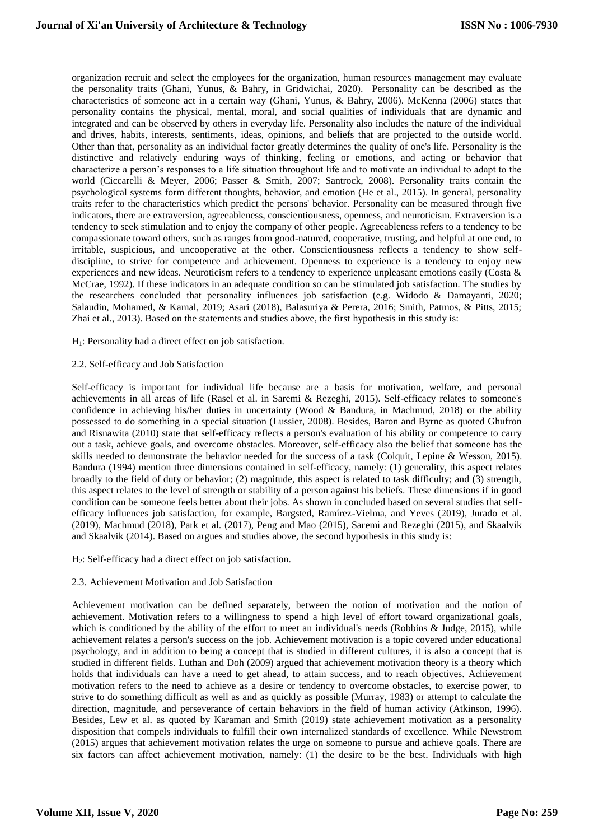organization recruit and select the employees for the organization, human resources management may evaluate the personality traits (Ghani, Yunus, & Bahry, in Gridwichai, 2020). Personality can be described as the characteristics of someone act in a certain way (Ghani, Yunus, & Bahry, 2006). McKenna (2006) states that personality contains the physical, mental, moral, and social qualities of individuals that are dynamic and integrated and can be observed by others in everyday life. Personality also includes the nature of the individual and drives, habits, interests, sentiments, ideas, opinions, and beliefs that are projected to the outside world. Other than that, personality as an individual factor greatly determines the quality of one's life. Personality is the distinctive and relatively enduring ways of thinking, feeling or emotions, and acting or behavior that characterize a person's responses to a life situation throughout life and to motivate an individual to adapt to the world (Ciccarelli & Meyer, 2006; Passer & Smith, 2007; Santrock, 2008). Personality traits contain the psychological systems form different thoughts, behavior, and emotion (He et al., 2015). In general, personality traits refer to the characteristics which predict the persons' behavior. Personality can be measured through five indicators, there are extraversion, agreeableness, conscientiousness, openness, and neuroticism. Extraversion is a tendency to seek stimulation and to enjoy the company of other people. Agreeableness refers to a tendency to be compassionate toward others, such as ranges from good-natured, cooperative, trusting, and helpful at one end, to irritable, suspicious, and uncooperative at the other. Conscientiousness reflects a tendency to show selfdiscipline, to strive for competence and achievement. Openness to experience is a tendency to enjoy new experiences and new ideas. Neuroticism refers to a tendency to experience unpleasant emotions easily (Costa & McCrae, 1992). If these indicators in an adequate condition so can be stimulated job satisfaction. The studies by the researchers concluded that personality influences job satisfaction (e.g. Widodo & Damayanti, 2020; Salaudin, Mohamed, & Kamal, 2019; Asari (2018), Balasuriya & Perera, 2016; Smith, Patmos, & Pitts, 2015; Zhai et al., 2013). Based on the statements and studies above, the first hypothesis in this study is:

H1: Personality had a direct effect on job satisfaction.

2.2. Self-efficacy and Job Satisfaction

Self-efficacy is important for individual life because are a basis for motivation, welfare, and personal achievements in all areas of life (Rasel et al. in Saremi & Rezeghi, 2015). Self-efficacy relates to someone's confidence in achieving his/her duties in uncertainty (Wood & Bandura, in Machmud, 2018) or the ability possessed to do something in a special situation (Lussier, 2008). Besides, Baron and Byrne as quoted Ghufron and Risnawita (2010) state that self-efficacy reflects a person's evaluation of his ability or competence to carry out a task, achieve goals, and overcome obstacles. Moreover, self-efficacy also the belief that someone has the skills needed to demonstrate the behavior needed for the success of a task (Colquit, Lepine & Wesson, 2015). Bandura (1994) mention three dimensions contained in self-efficacy, namely: (1) generality, this aspect relates broadly to the field of duty or behavior; (2) magnitude, this aspect is related to task difficulty; and (3) strength, this aspect relates to the level of strength or stability of a person against his beliefs. These dimensions if in good condition can be someone feels better about their jobs. As shown in concluded based on several studies that selfefficacy influences job satisfaction, for example, Bargsted, Ramírez-Vielma, and Yeves (2019), Jurado et al. (2019), Machmud (2018), Park et al. (2017), Peng and Mao (2015), Saremi and Rezeghi (2015), and Skaalvik and Skaalvik (2014). Based on argues and studies above, the second hypothesis in this study is:

H2: Self-efficacy had a direct effect on job satisfaction.

## 2.3. Achievement Motivation and Job Satisfaction

Achievement motivation can be defined separately, between the notion of motivation and the notion of achievement. Motivation refers to a willingness to spend a high level of effort toward organizational goals, which is conditioned by the ability of the effort to meet an individual's needs (Robbins & Judge, 2015), while achievement relates a person's success on the job. Achievement motivation is a topic covered under educational psychology, and in addition to being a concept that is studied in different cultures, it is also a concept that is studied in different fields. Luthan and Doh (2009) argued that achievement motivation theory is a theory which holds that individuals can have a need to get ahead, to attain success, and to reach objectives. Achievement motivation refers to the need to achieve as a desire or tendency to overcome obstacles, to exercise power, to strive to do something difficult as well as and as quickly as possible (Murray, 1983) or attempt to calculate the direction, magnitude, and perseverance of certain behaviors in the field of human activity (Atkinson, 1996). Besides, Lew et al. as quoted by Karaman and Smith (2019) state achievement motivation as a personality disposition that compels individuals to fulfill their own internalized standards of excellence. While Newstrom (2015) argues that achievement motivation relates the urge on someone to pursue and achieve goals. There are six factors can affect achievement motivation, namely: (1) the desire to be the best. Individuals with high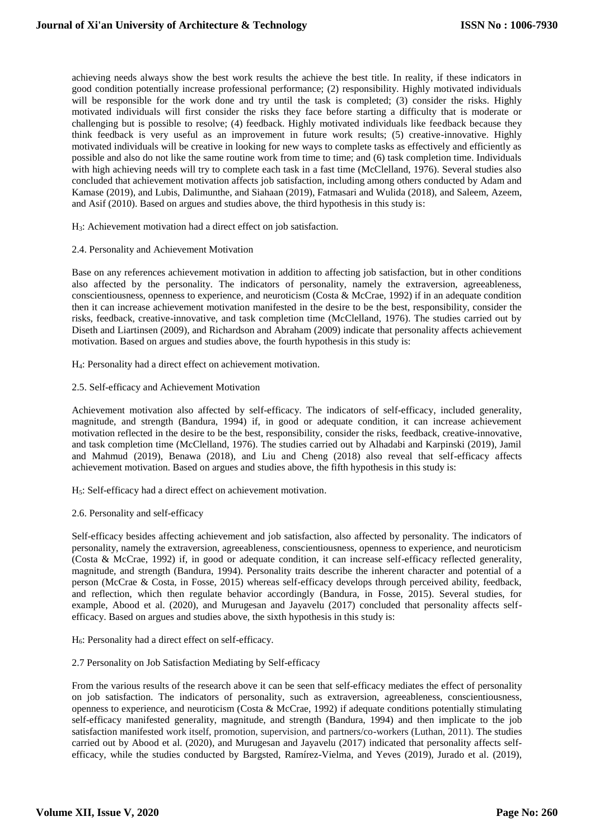achieving needs always show the best work results the achieve the best title. In reality, if these indicators in good condition potentially increase professional performance; (2) responsibility. Highly motivated individuals will be responsible for the work done and try until the task is completed; (3) consider the risks. Highly motivated individuals will first consider the risks they face before starting a difficulty that is moderate or challenging but is possible to resolve; (4) feedback. Highly motivated individuals like feedback because they think feedback is very useful as an improvement in future work results; (5) creative-innovative. Highly motivated individuals will be creative in looking for new ways to complete tasks as effectively and efficiently as possible and also do not like the same routine work from time to time; and (6) task completion time. Individuals with high achieving needs will try to complete each task in a fast time (McClelland, 1976). Several studies also concluded that achievement motivation affects job satisfaction, including among others conducted by Adam and Kamase (2019), and Lubis, Dalimunthe, and Siahaan (2019), Fatmasari and Wulida (2018), and Saleem, Azeem, and Asif (2010). Based on argues and studies above, the third hypothesis in this study is:

H3: Achievement motivation had a direct effect on job satisfaction.

## 2.4. Personality and Achievement Motivation

Base on any references achievement motivation in addition to affecting job satisfaction, but in other conditions also affected by the personality. The indicators of personality, namely the extraversion, agreeableness, conscientiousness, openness to experience, and neuroticism (Costa & McCrae, 1992) if in an adequate condition then it can increase achievement motivation manifested in the desire to be the best, responsibility, consider the risks, feedback, creative-innovative, and task completion time (McClelland, 1976). The studies carried out by Diseth and Liartinsen (2009), and Richardson and Abraham (2009) indicate that personality affects achievement motivation. Based on argues and studies above, the fourth hypothesis in this study is:

H4: Personality had a direct effect on achievement motivation.

2.5. Self-efficacy and Achievement Motivation

Achievement motivation also affected by self-efficacy. The indicators of self-efficacy, included generality, magnitude, and strength (Bandura, 1994) if, in good or adequate condition, it can increase achievement motivation reflected in the desire to be the best, responsibility, consider the risks, feedback, creative-innovative, and task completion time (McClelland, 1976). The studies carried out by Alhadabi and Karpinski (2019), Jamil and Mahmud (2019), Benawa (2018), and Liu and Cheng (2018) also reveal that self-efficacy affects achievement motivation. Based on argues and studies above, the fifth hypothesis in this study is:

H5: Self-efficacy had a direct effect on achievement motivation.

## 2.6. Personality and self-efficacy

Self-efficacy besides affecting achievement and job satisfaction, also affected by personality. The indicators of personality, namely the extraversion, agreeableness, conscientiousness, openness to experience, and neuroticism (Costa & McCrae, 1992) if, in good or adequate condition, it can increase self-efficacy reflected generality, magnitude, and strength (Bandura, 1994). Personality traits describe the inherent character and potential of a person (McCrae & Costa, in Fosse, 2015) whereas self-efficacy develops through perceived ability, feedback, and reflection, which then regulate behavior accordingly (Bandura, in Fosse, 2015). Several studies, for example, Abood et al. (2020), and Murugesan and Jayavelu (2017) concluded that personality affects selfefficacy. Based on argues and studies above, the sixth hypothesis in this study is:

 $H_6$ : Personality had a direct effect on self-efficacy.

### 2.7 Personality on Job Satisfaction Mediating by Self-efficacy

From the various results of the research above it can be seen that self-efficacy mediates the effect of personality on job satisfaction. The indicators of personality, such as extraversion, agreeableness, conscientiousness, openness to experience, and neuroticism (Costa & McCrae, 1992) if adequate conditions potentially stimulating self-efficacy manifested generality, magnitude, and strength (Bandura, 1994) and then implicate to the job satisfaction manifested work itself, promotion, supervision, and partners/co-workers (Luthan, 2011). The studies carried out by Abood et al. (2020), and Murugesan and Jayavelu (2017) indicated that personality affects selfefficacy, while the studies conducted by Bargsted, Ramírez-Vielma, and Yeves (2019), Jurado et al. (2019),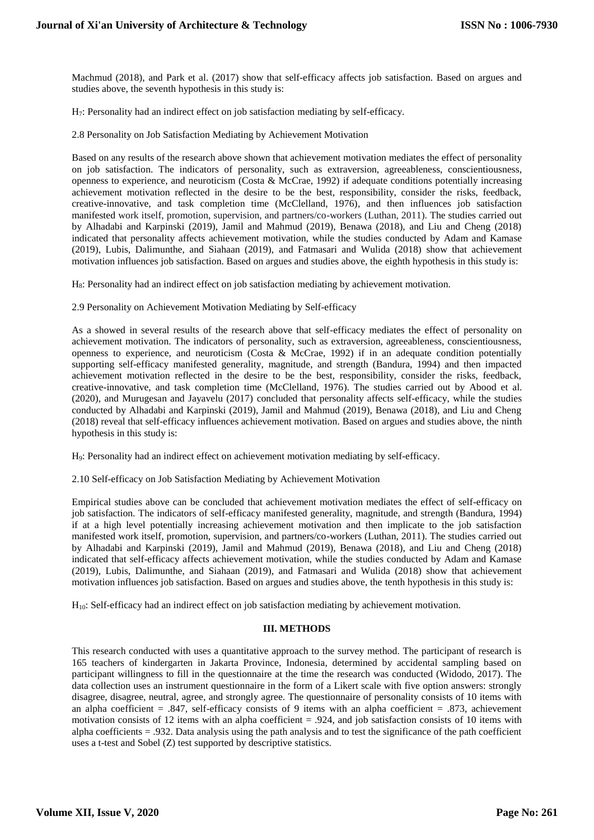Machmud (2018), and Park et al. (2017) show that self-efficacy affects job satisfaction. Based on argues and studies above, the seventh hypothesis in this study is:

H7: Personality had an indirect effect on job satisfaction mediating by self-efficacy.

2.8 Personality on Job Satisfaction Mediating by Achievement Motivation

Based on any results of the research above shown that achievement motivation mediates the effect of personality on job satisfaction. The indicators of personality, such as extraversion, agreeableness, conscientiousness, openness to experience, and neuroticism (Costa & McCrae, 1992) if adequate conditions potentially increasing achievement motivation reflected in the desire to be the best, responsibility, consider the risks, feedback, creative-innovative, and task completion time (McClelland, 1976), and then influences job satisfaction manifested work itself, promotion, supervision, and partners/co-workers (Luthan, 2011). The studies carried out by Alhadabi and Karpinski (2019), Jamil and Mahmud (2019), Benawa (2018), and Liu and Cheng (2018) indicated that personality affects achievement motivation, while the studies conducted by Adam and Kamase (2019), Lubis, Dalimunthe, and Siahaan (2019), and Fatmasari and Wulida (2018) show that achievement motivation influences job satisfaction. Based on argues and studies above, the eighth hypothesis in this study is:

H8: Personality had an indirect effect on job satisfaction mediating by achievement motivation.

2.9 Personality on Achievement Motivation Mediating by Self-efficacy

As a showed in several results of the research above that self-efficacy mediates the effect of personality on achievement motivation. The indicators of personality, such as extraversion, agreeableness, conscientiousness, openness to experience, and neuroticism (Costa & McCrae, 1992) if in an adequate condition potentially supporting self-efficacy manifested generality, magnitude, and strength (Bandura, 1994) and then impacted achievement motivation reflected in the desire to be the best, responsibility, consider the risks, feedback, creative-innovative, and task completion time (McClelland, 1976). The studies carried out by Abood et al. (2020), and Murugesan and Jayavelu (2017) concluded that personality affects self-efficacy, while the studies conducted by Alhadabi and Karpinski (2019), Jamil and Mahmud (2019), Benawa (2018), and Liu and Cheng (2018) reveal that self-efficacy influences achievement motivation. Based on argues and studies above, the ninth hypothesis in this study is:

H9: Personality had an indirect effect on achievement motivation mediating by self-efficacy.

2.10 Self-efficacy on Job Satisfaction Mediating by Achievement Motivation

Empirical studies above can be concluded that achievement motivation mediates the effect of self-efficacy on job satisfaction. The indicators of self-efficacy manifested generality, magnitude, and strength (Bandura, 1994) if at a high level potentially increasing achievement motivation and then implicate to the job satisfaction manifested work itself, promotion, supervision, and partners/co-workers (Luthan, 2011). The studies carried out by Alhadabi and Karpinski (2019), Jamil and Mahmud (2019), Benawa (2018), and Liu and Cheng (2018) indicated that self-efficacy affects achievement motivation, while the studies conducted by Adam and Kamase (2019), Lubis, Dalimunthe, and Siahaan (2019), and Fatmasari and Wulida (2018) show that achievement motivation influences job satisfaction. Based on argues and studies above, the tenth hypothesis in this study is:

H10: Self-efficacy had an indirect effect on job satisfaction mediating by achievement motivation.

## **III. METHODS**

This research conducted with uses a quantitative approach to the survey method. The participant of research is 165 teachers of kindergarten in Jakarta Province, Indonesia, determined by accidental sampling based on participant willingness to fill in the questionnaire at the time the research was conducted (Widodo, 2017). The data collection uses an instrument questionnaire in the form of a Likert scale with five option answers: strongly disagree, disagree, neutral, agree, and strongly agree. The questionnaire of personality consists of 10 items with an alpha coefficient = .847, self-efficacy consists of 9 items with an alpha coefficient = .873, achievement motivation consists of 12 items with an alpha coefficient = .924, and job satisfaction consists of 10 items with alpha coefficients = .932. Data analysis using the path analysis and to test the significance of the path coefficient uses a t-test and Sobel (Z) test supported by descriptive statistics.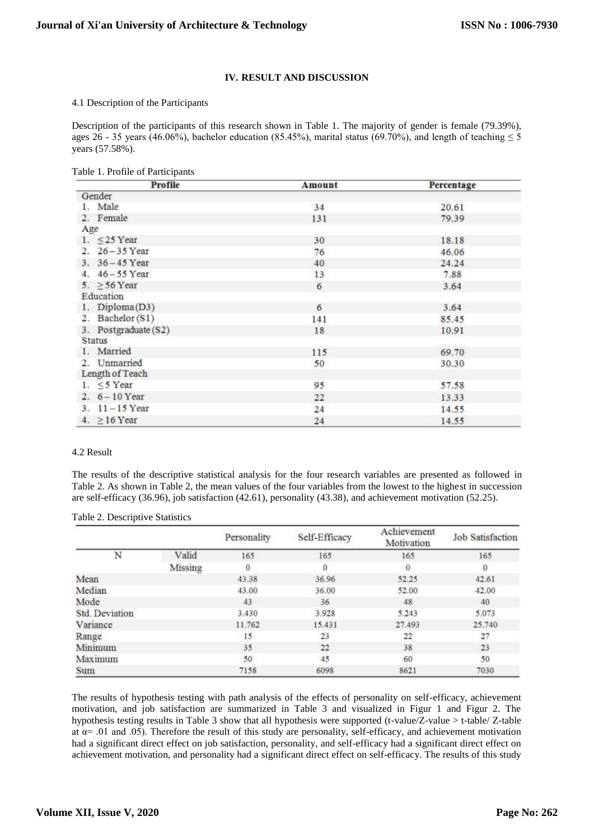## **IV. RESULT AND DISCUSSION**

#### 4.1 Description of the Participants

Description of the participants of this research shown in Table 1. The majority of gender is female (79.39%), ages 26 - 35 years (46.06%), bachelor education (85.45%), marital status (69.70%), and length of teaching  $\leq$  5 years (57.58%).

| Profile              | Amount | Percentage |  |
|----------------------|--------|------------|--|
| Gender               |        |            |  |
| 1. Male              | 34     | 20.61      |  |
| 2. Female            | 131    | 79.39      |  |
| Age                  |        |            |  |
| 1. $\leq$ 25 Year    | 30     | 18.18      |  |
| 2. $26 - 35$ Year    | 76     | 46.06      |  |
| 3. 36 - 45 Year      | 40     | 24.24      |  |
| 4. 46 - 55 Year      | 13     | 7.88       |  |
| 5. $\geq$ 56 Year    | 6      | 3.64       |  |
| Education            |        |            |  |
| 1. Diploma(D3)       | 6      | 3.64       |  |
| 2. Bachelor (S1)     | 141    | 85.45      |  |
| 3. Postgraduate (S2) | 18     | 10.91      |  |
| Status               |        |            |  |
| 1. Married           | 115    | 69.70      |  |
| 2. Unmarried         | 50     | 30.30      |  |
| Length of Teach      |        |            |  |
| 1. $\leq$ 5 Year     | 95     | 57.58      |  |
| 2. $6 - 10$ Year     | 22     | 13.33      |  |
| $3. 11 - 15$ Year    | 24     | 14.55      |  |
| 4. $\geq$ 16 Year    | 24     | 14.55      |  |

### 4.2 Result

The results of the descriptive statistical analysis for the four research variables are presented as followed in Table 2. As shown in Table 2, the mean values of the four variables from the lowest to the highest in succession are self-efficacy (36.96), job satisfaction (42.61), personality (43.38), and achievement motivation (52.25).

Table 2. Descriptive Statistics

|                |         | Personality | Self-Efficacy | Achievement<br>Motivation | Job Satisfaction |
|----------------|---------|-------------|---------------|---------------------------|------------------|
| N              | Valid   | 165         | 165           | 165                       | 165              |
|                | Missing | 0           | 0             | 0                         | $\bf{0}$         |
| Mean           |         | 43.38       | 36.96         | 52.25                     | 42.61            |
| Median         |         | 43.00       | 36.00         | 52.00                     | 42.00            |
| Mode           |         | 43          | 36            | 48                        | 40               |
| Std. Deviation |         | 3.430       | 3.928         | 5.243                     | 5.073            |
| Variance       |         | 11.762      | 15.431        | 27.493                    | 25.740           |
| Range          |         | 15          | 23            | 22                        | 27               |
| Minimum        |         | 35          | 22            | 38                        | 23               |
| Maximum        |         | 50          | 45            | 60                        | 50               |
| Sum            |         | 7158        | 6098          | 8621                      | 7030             |

The results of hypothesis testing with path analysis of the effects of personality on self-efficacy, achievement motivation, and job satisfaction are summarized in Table 3 and visualized in Figur 1 and Figur 2. The hypothesis testing results in Table 3 show that all hypothesis were supported (t-value/Z-value > t-table/ Z-table at  $\alpha$ = .01 and .05). Therefore the result of this study are personality, self-efficacy, and achievement motivation had a significant direct effect on job satisfaction, personality, and self-efficacy had a significant direct effect on achievement motivation, and personality had a significant direct effect on self-efficacy. The results of this study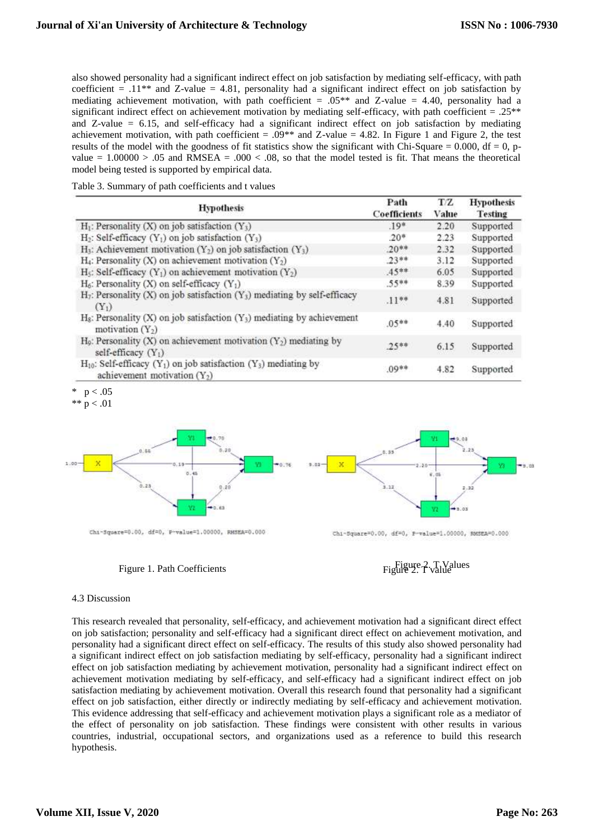also showed personality had a significant indirect effect on job satisfaction by mediating self-efficacy, with path coefficient  $= .11$ <sup>\*\*</sup> and Z-value  $= 4.81$ , personality had a significant indirect effect on job satisfaction by mediating achievement motivation, with path coefficient =  $.05**$  and Z-value = 4.40, personality had a significant indirect effect on achievement motivation by mediating self-efficacy, with path coefficient  $= .25$ <sup>\*\*</sup> and Z-value  $= 6.15$ , and self-efficacy had a significant indirect effect on job satisfaction by mediating achievement motivation, with path coefficient =  $.09**$  and Z-value = 4.82. In Figure 1 and Figure 2, the test results of the model with the goodness of fit statistics show the significant with Chi-Square =  $0.000$ , df =  $0$ , pvalue =  $1.00000 > .05$  and RMSEA =  $.000 < .08$ , so that the model tested is fit. That means the theoretical model being tested is supported by empirical data.

| Table 3. Summary of path coefficients and t values |  |  |  |  |
|----------------------------------------------------|--|--|--|--|
|----------------------------------------------------|--|--|--|--|

| <b>Hypothesis</b>                                                                                                               | Path<br><b>Coefficients</b> | T/Z<br>Value | <b>Hypothesis</b><br>Testing |
|---------------------------------------------------------------------------------------------------------------------------------|-----------------------------|--------------|------------------------------|
| $H_1$ : Personality (X) on job satisfaction (Y <sub>3</sub> )                                                                   | $.19*$                      | 2.20         | Supported                    |
| $H_2$ : Self-efficacy (Y <sub>1</sub> ) on job satisfaction (Y <sub>3</sub> )                                                   | $20*$                       | 2.23         | Supported                    |
| $H_3$ : Achievement motivation (Y <sub>2</sub> ) on job satisfaction (Y <sub>3</sub> )                                          | $.20**$                     | 2.32         | Supported                    |
| $H_4$ : Personality (X) on achievement motivation (Y <sub>2</sub> )                                                             | $23**$                      | 3.12         | Supported                    |
| $H_5$ : Self-efficacy (Y <sub>1</sub> ) on achievement motivation (Y <sub>2</sub> )                                             | $.45***$                    | 6.05         | Supported                    |
| $H_6$ : Personality (X) on self-efficacy (Y <sub>1</sub> )                                                                      | $.55***$                    | 8.39         | Supported                    |
| $H_7$ : Personality (X) on job satisfaction (Y <sub>3</sub> ) mediating by self-efficacy<br>$(Y_1)$                             | $.11***$                    | 4.81         | Supported                    |
| $H_8$ : Personality (X) on job satisfaction (Y <sub>3</sub> ) mediating by achievement<br>motivation $(Y_2)$                    | $.05***$                    | 4.40         | Supported                    |
| $H_9$ : Personality (X) on achievement motivation (Y <sub>2</sub> ) mediating by<br>self-efficacy (Y <sub>1</sub> )             | $25**$                      | 6.15         | Supported                    |
| $H_{10}$ : Self-efficacy (Y <sub>1</sub> ) on job satisfaction (Y <sub>3</sub> ) mediating by<br>achievement motivation $(Y_2)$ | $.09**$                     | 4.82         | Supported                    |

 $p < .05$ 

\*\*  $p < .01$ 





## 4.3 Discussion

This research revealed that personality, self-efficacy, and achievement motivation had a significant direct effect on job satisfaction; personality and self-efficacy had a significant direct effect on achievement motivation, and personality had a significant direct effect on self-efficacy. The results of this study also showed personality had a significant indirect effect on job satisfaction mediating by self-efficacy, personality had a significant indirect effect on job satisfaction mediating by achievement motivation, personality had a significant indirect effect on achievement motivation mediating by self-efficacy, and self-efficacy had a significant indirect effect on job satisfaction mediating by achievement motivation. Overall this research found that personality had a significant effect on job satisfaction, either directly or indirectly mediating by self-efficacy and achievement motivation. This evidence addressing that self-efficacy and achievement motivation plays a significant role as a mediator of the effect of personality on job satisfaction. These findings were consistent with other results in various countries, industrial, occupational sectors, and organizations used as a reference to build this research hypothesis.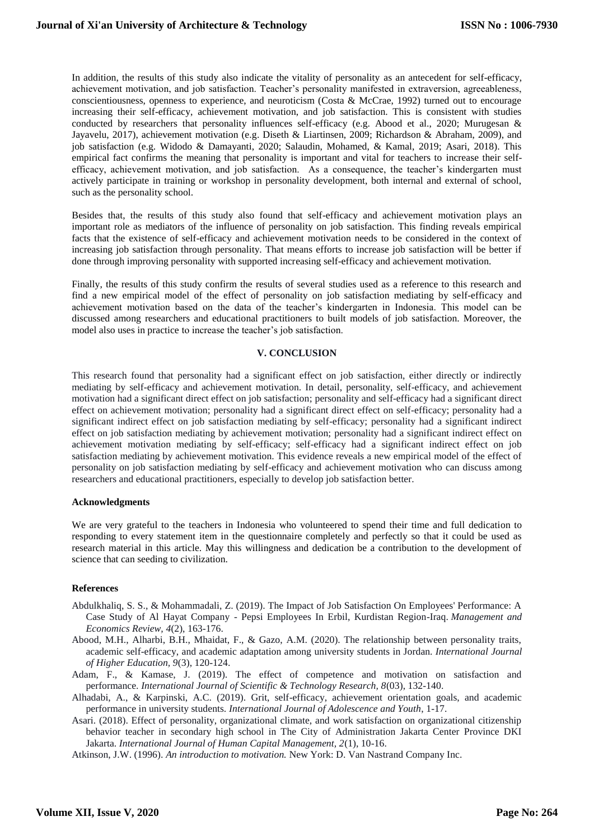In addition, the results of this study also indicate the vitality of personality as an antecedent for self-efficacy, achievement motivation, and job satisfaction. Teacher's personality manifested in extraversion, agreeableness, conscientiousness, openness to experience, and neuroticism (Costa & McCrae, 1992) turned out to encourage increasing their self-efficacy, achievement motivation, and job satisfaction. This is consistent with studies conducted by researchers that personality influences self-efficacy (e.g. Abood et al., 2020; Murugesan & Jayavelu, 2017), achievement motivation (e.g. Diseth & Liartinsen, 2009; Richardson & Abraham, 2009), and job satisfaction (e.g. Widodo & Damayanti, 2020; Salaudin, Mohamed, & Kamal, 2019; Asari, 2018). This empirical fact confirms the meaning that personality is important and vital for teachers to increase their selfefficacy, achievement motivation, and job satisfaction. As a consequence, the teacher's kindergarten must actively participate in training or workshop in personality development, both internal and external of school, such as the personality school.

Besides that, the results of this study also found that self-efficacy and achievement motivation plays an important role as mediators of the influence of personality on job satisfaction. This finding reveals empirical facts that the existence of self-efficacy and achievement motivation needs to be considered in the context of increasing job satisfaction through personality. That means efforts to increase job satisfaction will be better if done through improving personality with supported increasing self-efficacy and achievement motivation.

Finally, the results of this study confirm the results of several studies used as a reference to this research and find a new empirical model of the effect of personality on job satisfaction mediating by self-efficacy and achievement motivation based on the data of the teacher's kindergarten in Indonesia. This model can be discussed among researchers and educational practitioners to built models of job satisfaction. Moreover, the model also uses in practice to increase the teacher's job satisfaction.

### **V. CONCLUSION**

This research found that personality had a significant effect on job satisfaction, either directly or indirectly mediating by self-efficacy and achievement motivation. In detail, personality, self-efficacy, and achievement motivation had a significant direct effect on job satisfaction; personality and self-efficacy had a significant direct effect on achievement motivation; personality had a significant direct effect on self-efficacy; personality had a significant indirect effect on job satisfaction mediating by self-efficacy; personality had a significant indirect effect on job satisfaction mediating by achievement motivation; personality had a significant indirect effect on achievement motivation mediating by self-efficacy; self-efficacy had a significant indirect effect on job satisfaction mediating by achievement motivation. This evidence reveals a new empirical model of the effect of personality on job satisfaction mediating by self-efficacy and achievement motivation who can discuss among researchers and educational practitioners, especially to develop job satisfaction better.

### **Acknowledgments**

We are very grateful to the teachers in Indonesia who volunteered to spend their time and full dedication to responding to every statement item in the questionnaire completely and perfectly so that it could be used as research material in this article. May this willingness and dedication be a contribution to the development of science that can seeding to civilization.

### **References**

- Abdulkhaliq, S. S., & Mohammadali, Z. (2019). The Impact of Job Satisfaction On Employees' Performance: A Case Study of Al Hayat Company - Pepsi Employees In Erbil, Kurdistan Region-Iraq. *Management and Economics Review, 4*(2), 163-176.
- Abood, M.H., Alharbi, B.H., Mhaidat, F., & Gazo, A.M. (2020). The relationship between personality traits, academic self-efficacy, and academic adaptation among university students in Jordan. *International Journal of Higher Education, 9*(3), 120-124.
- Adam, F., & Kamase, J. (2019). The effect of competence and motivation on satisfaction and performance. *International Journal of Scientific & Technology Research, 8*(03), 132-140.
- Alhadabi, A., & Karpinski, A.C. (2019). Grit, self-efficacy, achievement orientation goals, and academic performance in university students. *International Journal of Adolescence and Youth*, 1-17.
- Asari. (2018). Effect of personality, organizational climate, and work satisfaction on organizational citizenship behavior teacher in secondary high school in The City of Administration Jakarta Center Province DKI Jakarta. *International Journal of Human Capital Management, 2*(1), 10-16.

Atkinson, J.W. (1996). *An introduction to motivation.* New York: D. Van Nastrand Company Inc.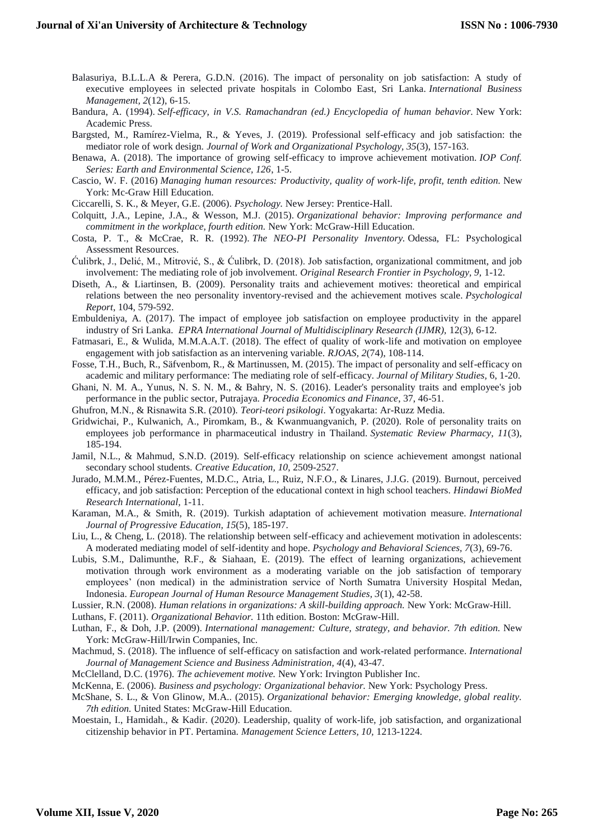- Balasuriya, B.L.L.A & Perera, G.D.N. (2016). The impact of personality on job satisfaction: A study of executive employees in selected private hospitals in Colombo East, Sri Lanka. *International Business Management, 2*(12), 6-15.
- Bandura, A. (1994). *Self-efficacy, in V.S. Ramachandran (ed.) Encyclopedia of human behavior.* New York: Academic Press.
- Bargsted, M., Ramírez-Vielma, R., & Yeves, J. (2019). Professional self-efficacy and job satisfaction: the mediator role of work design. *Journal of Work and Organizational Psychology, 35*(3), 157-163.
- Benawa, A. (2018). The importance of growing self-efficacy to improve achievement motivation. *IOP Conf. Series: Earth and Environmental Science, 126*, 1-5.
- Cascio, W. F. (2016) *Managing human resources: Productivity, quality of work-life, profit, tenth edition.* New York: Mc-Graw Hill Education.
- Ciccarelli, S. K., & Meyer, G.E. (2006). *Psychology.* New Jersey: Prentice-Hall.
- Colquitt, J.A., Lepine, J.A., & Wesson, M.J. (2015). *Organizational behavior: Improving performance and commitment in the workplace, fourth edition.* New York: McGraw-Hill Education.
- Costa, P. T., & McCrae, R. R. (1992). *The NEO-PI Personality Inventory.* Odessa, FL: Psychological Assessment Resources.
- Ćulibrk, J., Delić, M., Mitrović, S., & Ćulibrk, D. (2018). Job satisfaction, organizational commitment, and job involvement: The mediating role of job involvement. *Original Research Frontier in Psychology, 9,* 1-12.
- Diseth, A., & Liartinsen, B. (2009). Personality traits and achievement motives: theoretical and empirical relations between the neo personality inventory-revised and the achievement motives scale. *Psychological Report*, 104, 579-592.
- Embuldeniya, A. (2017). The impact of employee job satisfaction on employee productivity in the apparel industry of Sri Lanka. *EPRA International Journal of Multidisciplinary Research (IJMR),* 12(3), 6-12.
- Fatmasari, E., & Wulida, M.M.A.A.T. (2018). The effect of quality of work-life and motivation on employee engagement with job satisfaction as an intervening variable. *RJOAS, 2*(74), 108-114.
- Fosse, T.H., Buch, R., Säfvenbom, R., & Martinussen, M. (2015). The impact of personality and self-efficacy on academic and military performance: The mediating role of self-efficacy. *Journal of Military Studies,* 6, 1-20.
- Ghani, N. M. A., Yunus, N. S. N. M., & Bahry, N. S. (2016). Leader's personality traits and employee's job performance in the public sector, Putrajaya. *Procedia Economics and Finance*, 37, 46-51.
- Ghufron, M.N., & Risnawita S.R. (2010). *Teori-teori psikologi*. Yogyakarta: Ar-Ruzz Media.
- Gridwichai, P., Kulwanich, A., Piromkam, B., & Kwanmuangvanich, P. (2020). Role of personality traits on employees job performance in pharmaceutical industry in Thailand. *Systematic Review Pharmacy, 11*(3), 185-194.
- Jamil, N.L., & Mahmud, S.N.D. (2019). Self-efficacy relationship on science achievement amongst national secondary school students. *Creative Education, 10*, 2509-2527.
- Jurado, M.M.M., Pérez-Fuentes, M.D.C., Atria, L., Ruiz, N.F.O., & Linares, J.J.G. (2019). Burnout, perceived efficacy, and job satisfaction: Perception of the educational context in high school teachers. *Hindawi BioMed Research International,* 1-11.
- Karaman, M.A., & Smith, R. (2019). Turkish adaptation of achievement motivation measure. *International Journal of Progressive Education, 15*(5), 185-197.
- Liu, L., & Cheng, L. (2018). The relationship between self-efficacy and achievement motivation in adolescents: A moderated mediating model of self-identity and hope. *Psychology and Behavioral Sciences, 7*(3), 69-76.
- Lubis, S.M., Dalimunthe, R.F., & Siahaan, E. (2019). The effect of learning organizations, achievement motivation through work environment as a moderating variable on the job satisfaction of temporary employees' (non medical) in the administration service of North Sumatra University Hospital Medan, Indonesia. *European Journal of Human Resource Management Studies, 3*(1), 42-58.
- Lussier, R.N. (2008). *Human relations in organizations: A skill-building approach.* New York: McGraw-Hill.
- Luthans, F. (2011). *Organizational Behavior.* 11th edition. Boston: McGraw-Hill.
- Luthan, F., & Doh, J.P. (2009). *International management: Culture, strategy, and behavior. 7th edition.* New York: McGraw-Hill/Irwin Companies, Inc.
- Machmud, S. (2018). The influence of self-efficacy on satisfaction and work-related performance. *International Journal of Management Science and Business Administration, 4*(4), 43-47.
- McClelland, D.C. (1976). *The achievement motive.* New York: Irvington Publisher Inc.
- McKenna, E. (2006). *Business and psychology: Organizational behavior.* New York: Psychology Press.
- McShane, S. L., & Von Glinow, M.A.. (2015). *Organizational behavior: Emerging knowledge, global reality. 7th edition.* United States: McGraw-Hill Education.
- Moestain, I., Hamidah., & Kadir. (2020). Leadership, quality of work-life, job satisfaction, and organizational citizenship behavior in PT. Pertamina. *Management Science Letters, 10,* 1213-1224.